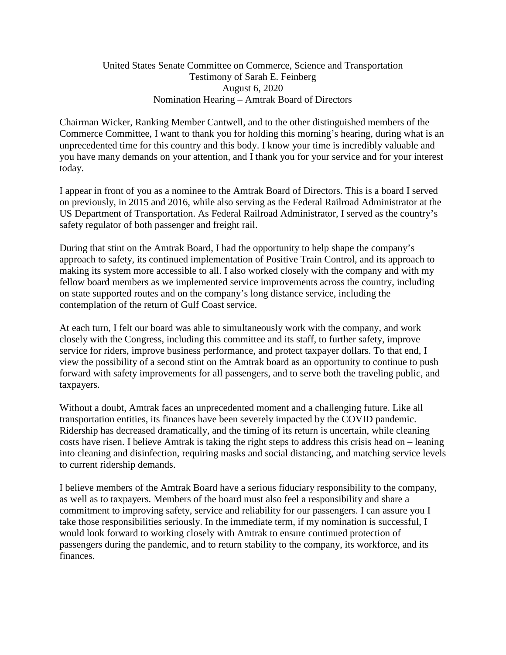## United States Senate Committee on Commerce, Science and Transportation Testimony of Sarah E. Feinberg August 6, 2020 Nomination Hearing – Amtrak Board of Directors

Chairman Wicker, Ranking Member Cantwell, and to the other distinguished members of the Commerce Committee, I want to thank you for holding this morning's hearing, during what is an unprecedented time for this country and this body. I know your time is incredibly valuable and you have many demands on your attention, and I thank you for your service and for your interest today.

I appear in front of you as a nominee to the Amtrak Board of Directors. This is a board I served on previously, in 2015 and 2016, while also serving as the Federal Railroad Administrator at the US Department of Transportation. As Federal Railroad Administrator, I served as the country's safety regulator of both passenger and freight rail.

During that stint on the Amtrak Board, I had the opportunity to help shape the company's approach to safety, its continued implementation of Positive Train Control, and its approach to making its system more accessible to all. I also worked closely with the company and with my fellow board members as we implemented service improvements across the country, including on state supported routes and on the company's long distance service, including the contemplation of the return of Gulf Coast service.

At each turn, I felt our board was able to simultaneously work with the company, and work closely with the Congress, including this committee and its staff, to further safety, improve service for riders, improve business performance, and protect taxpayer dollars. To that end, I view the possibility of a second stint on the Amtrak board as an opportunity to continue to push forward with safety improvements for all passengers, and to serve both the traveling public, and taxpayers.

Without a doubt, Amtrak faces an unprecedented moment and a challenging future. Like all transportation entities, its finances have been severely impacted by the COVID pandemic. Ridership has decreased dramatically, and the timing of its return is uncertain, while cleaning costs have risen. I believe Amtrak is taking the right steps to address this crisis head on – leaning into cleaning and disinfection, requiring masks and social distancing, and matching service levels to current ridership demands.

I believe members of the Amtrak Board have a serious fiduciary responsibility to the company, as well as to taxpayers. Members of the board must also feel a responsibility and share a commitment to improving safety, service and reliability for our passengers. I can assure you I take those responsibilities seriously. In the immediate term, if my nomination is successful, I would look forward to working closely with Amtrak to ensure continued protection of passengers during the pandemic, and to return stability to the company, its workforce, and its finances.